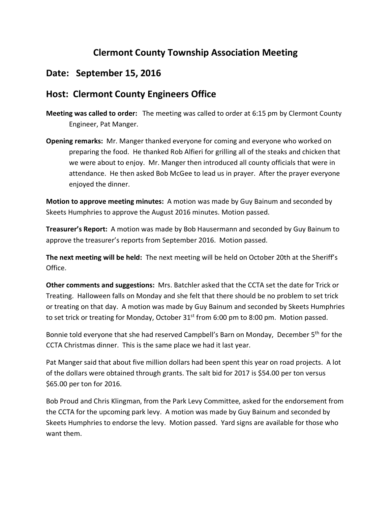## **Clermont County Township Association Meeting**

## **Date: September 15, 2016**

## **Host: Clermont County Engineers Office**

- **Meeting was called to order:** The meeting was called to order at 6:15 pm by Clermont County Engineer, Pat Manger.
- **Opening remarks:** Mr. Manger thanked everyone for coming and everyone who worked on preparing the food. He thanked Rob Alfieri for grilling all of the steaks and chicken that we were about to enjoy. Mr. Manger then introduced all county officials that were in attendance. He then asked Bob McGee to lead us in prayer. After the prayer everyone enjoyed the dinner.

**Motion to approve meeting minutes:** A motion was made by Guy Bainum and seconded by Skeets Humphries to approve the August 2016 minutes. Motion passed.

**Treasurer's Report:** A motion was made by Bob Hausermann and seconded by Guy Bainum to approve the treasurer's reports from September 2016. Motion passed.

**The next meeting will be held:** The next meeting will be held on October 20th at the Sheriff's Office.

**Other comments and suggestions:** Mrs. Batchler asked that the CCTA set the date for Trick or Treating. Halloween falls on Monday and she felt that there should be no problem to set trick or treating on that day. A motion was made by Guy Bainum and seconded by Skeets Humphries to set trick or treating for Monday, October 31<sup>st</sup> from 6:00 pm to 8:00 pm. Motion passed.

Bonnie told everyone that she had reserved Campbell's Barn on Monday, December 5<sup>th</sup> for the CCTA Christmas dinner. This is the same place we had it last year.

Pat Manger said that about five million dollars had been spent this year on road projects. A lot of the dollars were obtained through grants. The salt bid for 2017 is \$54.00 per ton versus \$65.00 per ton for 2016.

Bob Proud and Chris Klingman, from the Park Levy Committee, asked for the endorsement from the CCTA for the upcoming park levy. A motion was made by Guy Bainum and seconded by Skeets Humphries to endorse the levy. Motion passed. Yard signs are available for those who want them.